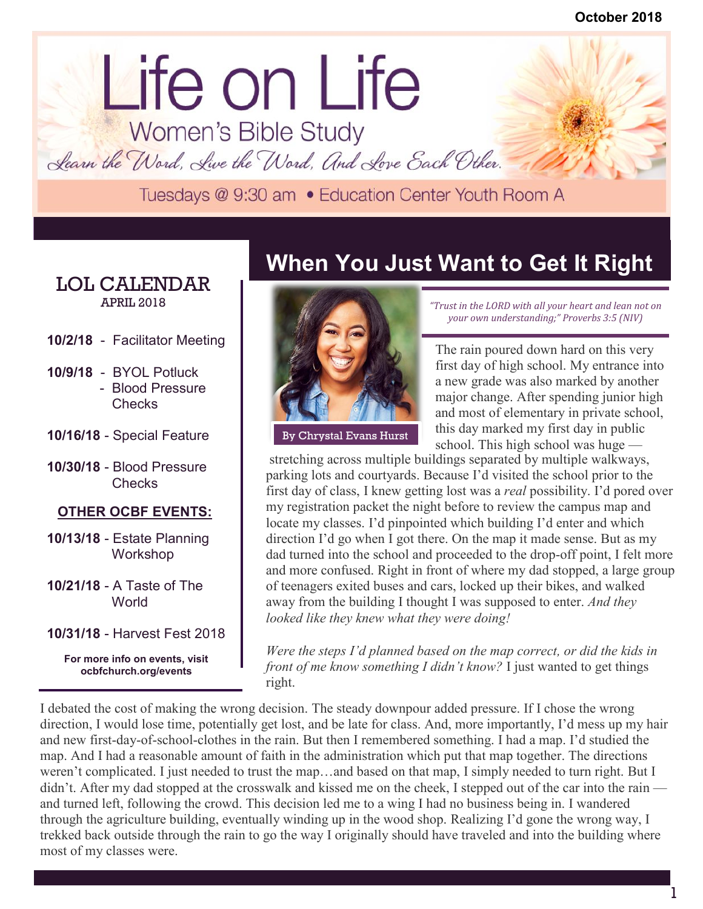# lorem ipsum dolor dolor sit ameter and dolor sit ameter and dolor sit ameter and dolor sit ameter and dolor si Life on Life<br>Women's Bible Study

Learn the Word, Live the Word, And Love Each Other.

#### LOL CALENDAR APRIL 2018

- **10/2/18** Facilitator Meeting
- **10/9/18** BYOL Potluck - Blood Pressure Checks
- **10/16/18** Special Feature
- **10/30/18** Blood Pressure **Checks**

#### **OTHER OCBF EVENTS:**

- **10/13/18** Estate Planning Workshop
- **10/21/18** A Taste of The **World**
- **10/31/18** Harvest Fest 2018

**For more info on events, visit ocbfchurch.org/events**

### **When You Just Want to Get It Right**



*"Trust in the LORD with all your heart and lean not on your own understanding;" Proverbs 3:5 (NIV)*

The rain poured down hard on this very first day of high school. My entrance into a new grade was also marked by another major change. After spending junior high and most of elementary in private school, this day marked my first day in public By Chrystal Evans Hurst and this day marked my first day in public<br>school. This high school was huge —

stretching across multiple buildings separated by multiple walkways, parking lots and courtyards. Because I'd visited the school prior to the first day of class, I knew getting lost was a *real* possibility. I'd pored over my registration packet the night before to review the campus map and locate my classes. I'd pinpointed which building I'd enter and which direction I'd go when I got there. On the map it made sense. But as my dad turned into the school and proceeded to the drop-off point, I felt more and more confused. Right in front of where my dad stopped, a large group of teenagers exited buses and cars, locked up their bikes, and walked away from the building I thought I was supposed to enter. *And they looked like they knew what they were doing!*

*Were the steps I'd planned based on the map correct, or did the kids in front of me know something I didn't know?* I just wanted to get things right.

I debated the cost of making the wrong decision. The steady downpour added pressure. If I chose the wrong direction, I would lose time, potentially get lost, and be late for class. And, more importantly, I'd mess up my hair and new first-day-of-school-clothes in the rain. But then I remembered something. I had a map. I'd studied the map. And I had a reasonable amount of faith in the administration which put that map together. The directions weren't complicated. I just needed to trust the map…and based on that map, I simply needed to turn right. But I didn't. After my dad stopped at the crosswalk and kissed me on the cheek, I stepped out of the car into the rain and turned left, following the crowd. This decision led me to a wing I had no business being in. I wandered through the agriculture building, eventually winding up in the wood shop. Realizing I'd gone the wrong way, I trekked back outside through the rain to go the way I originally should have traveled and into the building where most of my classes were.